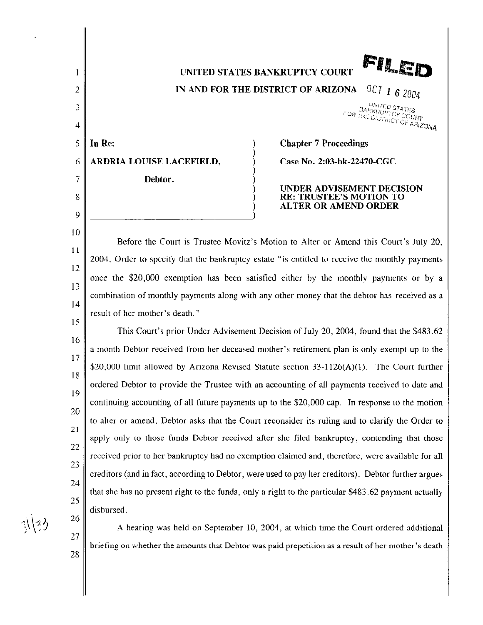FILED UNITED STATES BANKRUPTCY COURT

IN AND FOR THE DISTRICT OF ARIZONA  $\frac{0.001760 \text{ STATES}}{0.0017}$ <br>  $\frac{BA_{NKHUPTC}S_{TATES}}{1.0017}$ 

|      | 5    <b>In Re:</b>            |
|------|-------------------------------|
|      | 6    ARDRIA LOUISE LACEFIELD, |
| 7 II | Debtor.                       |

2

1

3

4

8

 $\overline{Q}$ 

10

15

**Chapter 7 Proceedings** Case No. 2:03-bk-22470-CGC

## UNDER ADVISEMENT DECISION RE: TRUSTEE'S MOTION TO ALTER OR AMEND ORDER

II 12 13 14 Before the Court is Trustee Movitz's Motion to Alter or Amend this Court's July 20, 2004, Order to specify that the bankruptcy estate "is entitled to receive the monthly payments once the \$20,000 exemption has been satisfied either by the monthly payments or by a combination of monthly payments along with any other money that the debtor has received as a result of her mother's death."

16 17 18 19 20 21 22 23 24 25 This Court's prior Under Advisement Decision of July 20, 2004, found that the \$483.62 a month Debtor received from her deceased mother's retirement plan is only exempt up to the \$20,000 limit allowed by Arizona Revised Statute section 33-1126(A)(1). The Court further ordered Debtor to provide the Trustee with an accounting of all payments received to date and continuing accounting of all future payments up to the \$20,000 cap. In response to the motion to alter or amend, Debtor asks that the Court reconsider its ruling and to clarify the Order to apply only to those funds Debtor received after she filed bankruptcy, contending that those received prior to her bankruptcy had no exemption claimed and, therefore, were available for all creditors (and in fact, according to Debtor, were used to pay her creditors). Debtor further argues that she has no present right to the funds, only a right to the particular \$483.62 payment actually disbursed.

A hearing was held on September 10, 2004, at which time the Court ordered additional

briefing on whether the amounts that Debtor was paid prepetition as a result of her mother's death

 $\Delta$ ) $J$  .

26

27

28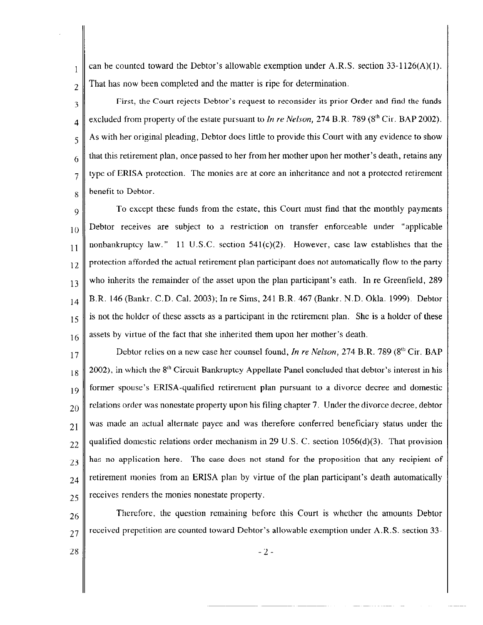can be counted toward the Debtor's allowable exemption under A.R.S. section  $33-1126(A)(1)$ . That has now been completed and the matter is ripe for determination.

3 4 5 6 7 First, the Court rejects Debtor's request to reconsider its prior Order and find the funds excluded from property of the estate pursuant to *In re Nelson*, 274 B.R. 789 ( $8<sup>th</sup>$  Cir. BAP 2002). As with her original pleading, Debtor does little to provide this Court with any evidence to show that this retirement plan, once passed to her from her mother upon her mother's death, retains any type of ERISA protection. The monies are at core an inheritance and not a protected retirement benefit to Debtor.

9 10 11 12 13 14 15 16 To except these funds from the estate, this Court must find that the monthly payments Debtor receives are subject to a restriction on transfer enforceable nnder "applicable nonbankruptcy law." 11 U.S.C. section  $541(c)(2)$ . However, case law establishes that the protection afforded the actual retirement plan participant does not automatically flow to the party who inherits the remainder of the asset upon the plan participant's eath. In re Greenfield, 289 B.R. 146 (Bankr. C.D. Cal. 2003); In re Sims, 241 B.R. 467 (Bankr. N.D. Okla. 1999) Debtor is not the holder of these assets as a participant in the retirement plan. She is a holder of these assets by virtue of the fact that she inherited them upon her mother's death.

17 18 19 20 21 22 *23*  24 25 Debtor relies on a new case her counsel found, *In re Nelson,* 274 B.R. 789 (8'" Cir. BAP  $2002$ ), in which the  $8<sup>th</sup>$  Circuit Bankruptcy Appellate Panel concluded that debtor's interest in his former spouse's ERISA-qualified retirement plan pursuant to a divorce decree and domestic relations order was nonestate property upon his filing chapter 7. Under the divorce decree, debtor was made an actual alternate payee and was therefore conferred beneficiary status under the qualified domestic relations order mechanism in 29 U.S. C. section  $1056(d)(3)$ . That provision has no application here. The case does not stand for the proposition that any recipient of retirement monies from an ERISA plan by virtue of the plan participant's death automatically receives renders the monies nonestate property.

26 27 Therefore, the question remaining before this Court is whether the amounts Debtor received prepetition are counted toward Debtor's allowable exemption under A.R.S. section 33-

28

2

 $\mathbf{1}$ 

8